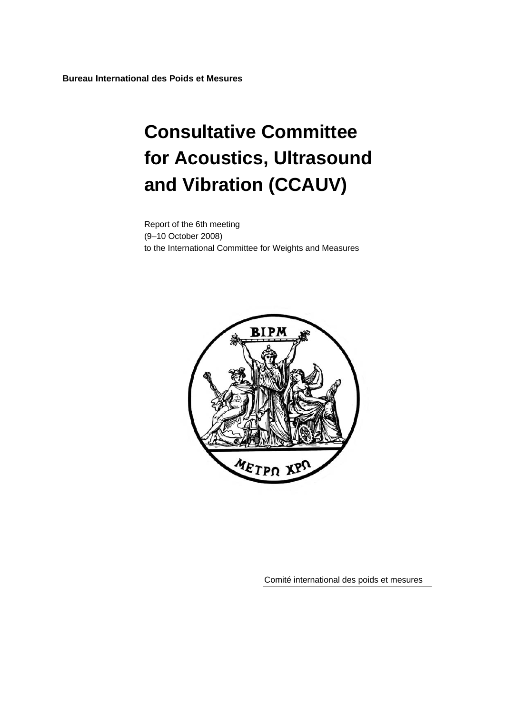**Bureau International des Poids et Mesures** 

# **Consultative Committee for Acoustics, Ultrasound and Vibration (CCAUV)**

Report of the 6th meeting (9–10 October 2008) to the International Committee for Weights and Measures



Comité international des poids et mesures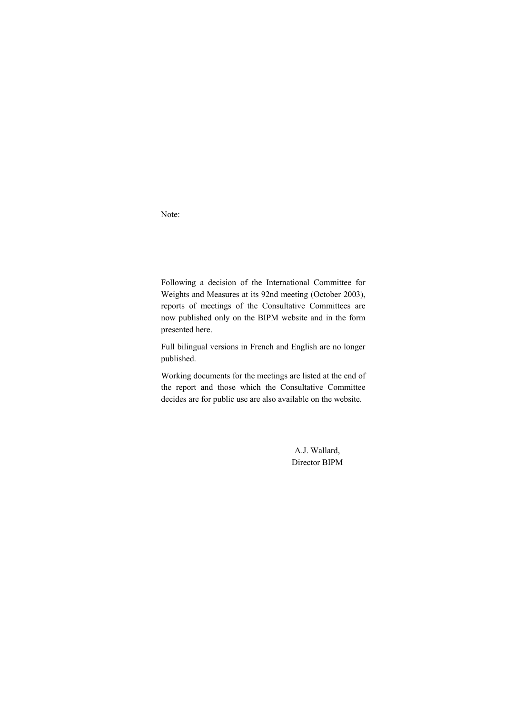Note:

Following a decision of the International Committee for Weights and Measures at its 92nd meeting (October 2003), reports of meetings of the Consultative Committees are now published only on the BIPM website and in the form presented here.

Full bilingual versions in French and English are no longer published.

Working documents for the meetings are listed at the end of the report and those which the Consultative Committee decides are for public use are also available on the website.

> A.J. Wallard, Director BIPM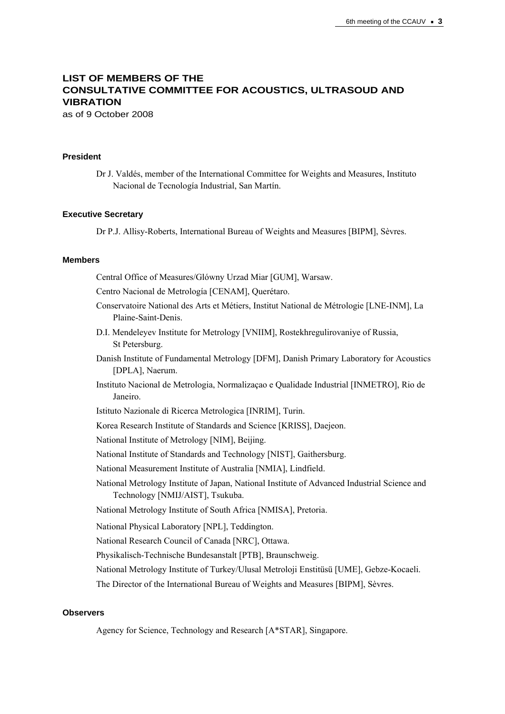# **LIST OF MEMBERS OF THE CONSULTATIVE COMMITTEE FOR ACOUSTICS, ULTRASOUD AND VIBRATION**

as of 9 October 2008

## **President**

Dr J. Valdés, member of the International Committee for Weights and Measures, Instituto Nacional de Tecnología Industrial, San Martín.

#### **Executive Secretary**

Dr P.J. Allisy-Roberts, International Bureau of Weights and Measures [BIPM], Sèvres.

#### **Members**

Central Office of Measures/Glówny Urzad Miar [GUM], Warsaw.

Centro Nacional de Metrología [CENAM], Querétaro.

- Conservatoire National des Arts et Métiers, Institut National de Métrologie [LNE-INM], La Plaine-Saint-Denis.
- D.I. Mendeleyev Institute for Metrology [VNIIM], Rostekhregulirovaniye of Russia, St Petersburg.
- Danish Institute of Fundamental Metrology [DFM], Danish Primary Laboratory for Acoustics [DPLA], Naerum.
- Instituto Nacional de Metrologia, Normalizaçao e Qualidade Industrial [INMETRO], Rio de Janeiro.
- Istituto Nazionale di Ricerca Metrologica [INRIM], Turin.
- Korea Research Institute of Standards and Science [KRISS], Daejeon.
- National Institute of Metrology [NIM], Beijing.
- National Institute of Standards and Technology [NIST], Gaithersburg.
- National Measurement Institute of Australia [NMIA], Lindfield.
- National Metrology Institute of Japan, National Institute of Advanced Industrial Science and Technology [NMIJ/AIST], Tsukuba.
- National Metrology Institute of South Africa [NMISA], Pretoria.
- National Physical Laboratory [NPL], Teddington.
- National Research Council of Canada [NRC], Ottawa.
- Physikalisch-Technische Bundesanstalt [PTB], Braunschweig.
- National Metrology Institute of Turkey/Ulusal Metroloji Enstitüsü [UME], Gebze-Kocaeli.
- The Director of the International Bureau of Weights and Measures [BIPM], Sèvres.

#### **Observers**

Agency for Science, Technology and Research [A\*STAR], Singapore.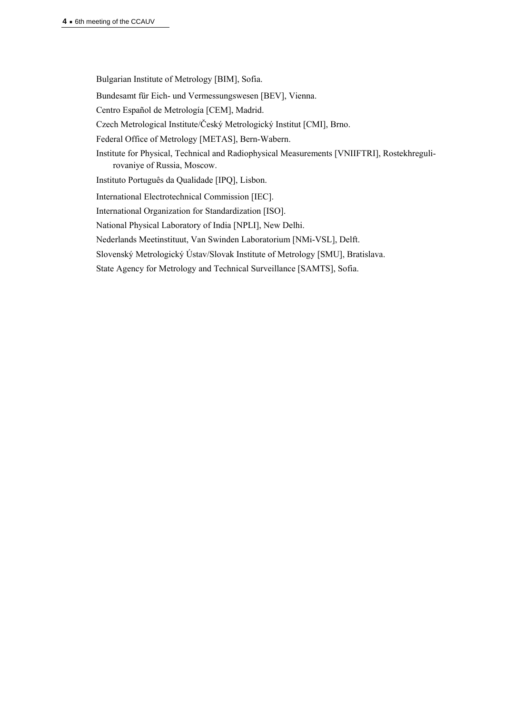Bulgarian Institute of Metrology [BIM], Sofia.

Bundesamt für Eich- und Vermessungswesen [BEV], Vienna.

Centro Español de Metrología [CEM], Madrid.

Czech Metrological Institute/Český Metrologický Institut [CMI], Brno.

Federal Office of Metrology [METAS], Bern-Wabern.

Institute for Physical, Technical and Radiophysical Measurements [VNIIFTRI], Rostekhregulirovaniye of Russia, Moscow.

Instituto Português da Qualidade [IPQ], Lisbon.

International Electrotechnical Commission [IEC].

International Organization for Standardization [ISO].

National Physical Laboratory of India [NPLI], New Delhi.

Nederlands Meetinstituut, Van Swinden Laboratorium [NMi-VSL], Delft.

Slovenský Metrologický Ústav/Slovak Institute of Metrology [SMU], Bratislava.

State Agency for Metrology and Technical Surveillance [SAMTS], Sofia.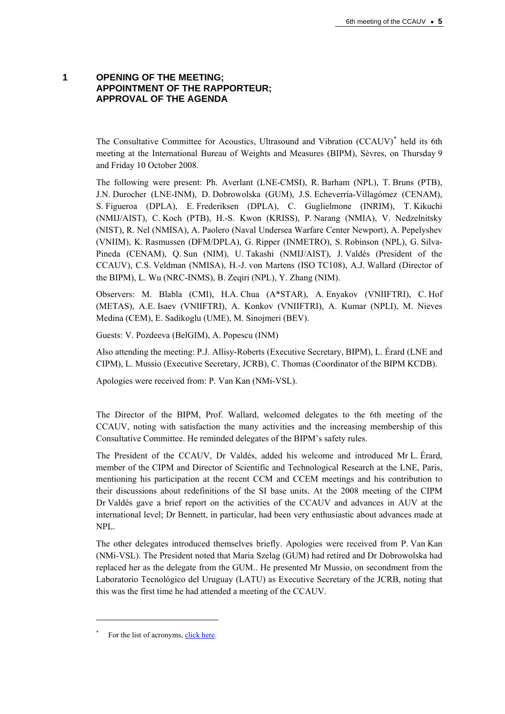## **1 OPENING OF THE MEETING; APPOINTMENT OF THE RAPPORTEUR; APPROVAL OF THE AGENDA**

The Consultative Committee for Acoustics, Ultrasound and Vibration (CCAUV)<sup>[\\*](#page-4-0)</sup> held its 6th meeting at the International Bureau of Weights and Measures (BIPM), Sèvres, on Thursday 9 and Friday 10 October 2008.

The following were present: Ph. Averlant (LNE-CMSI), R. Barham (NPL), T. Bruns (PTB), J.N. Durocher (LNE-INM), D. Dobrowolska (GUM), J.S. Echeverría-Villagómez (CENAM), S. Figueroa (DPLA), E. Frederiksen (DPLA), C. Guglielmone (INRIM), T. Kikuchi (NMIJ/AIST), C. Koch (PTB), H.-S. Kwon (KRISS), P. Narang (NMIA), V. Nedzelnitsky (NIST), R. Nel (NMISA), A. Paolero (Naval Undersea Warfare Center Newport), A. Pepelyshev (VNIIM), K. Rasmussen (DFM/DPLA), G. Ripper (INMETRO), S. Robinson (NPL), G. Silva-Pineda (CENAM), Q. Sun (NIM), U. Takashi (NMIJ/AIST), J. Valdés (President of the CCAUV), C.S. Veldman (NMISA), H.-J. von Martens (ISO TC108), A.J. Wallard (Director of the BIPM), L. Wu (NRC-INMS), B. Zeqiri (NPL), Y. Zhang (NIM).

Observers: M. Blabla (CMI), H.A. Chua (A\*STAR), A. Enyakov (VNIIFTRI), C. Hof (METAS), A.E. Isaev (VNIIFTRI), A. Konkov (VNIIFTRI), A. Kumar (NPLI), M. Nieves Medina (CEM), E. Sadikoglu (UME), M. Sinojmeri (BEV).

Guests: V. Pozdeeva (BelGIM), A. Popescu (INM)

Also attending the meeting: P.J. Allisy-Roberts (Executive Secretary, BIPM), L. Érard (LNE and CIPM), L. Mussio (Executive Secretary, JCRB), C. Thomas (Coordinator of the BIPM KCDB).

Apologies were received from: P. Van Kan (NMi-VSL).

The Director of the BIPM, Prof. Wallard, welcomed delegates to the 6th meeting of the CCAUV, noting with satisfaction the many activities and the increasing membership of this Consultative Committee. He reminded delegates of the BIPM's safety rules.

The President of the CCAUV, Dr Valdés, added his welcome and introduced Mr L. Érard, member of the CIPM and Director of Scientific and Technological Research at the LNE, Paris, mentioning his participation at the recent CCM and CCEM meetings and his contribution to their discussions about redefinitions of the SI base units. At the 2008 meeting of the CIPM Dr Valdés gave a brief report on the activities of the CCAUV and advances in AUV at the international level; Dr Bennett, in particular, had been very enthusiastic about advances made at NPL.

The other delegates introduced themselves briefly. Apologies were received from P. Van Kan (NMi-VSL). The President noted that Maria Szelag (GUM) had retired and Dr Dobrowolska had replaced her as the delegate from the GUM.. He presented Mr Mussio, on secondment from the Laboratorio Tecnológico del Uruguay (LATU) as Executive Secretary of the JCRB, noting that this was the first time he had attended a meeting of the CCAUV.

 $\overline{a}$ 

<span id="page-4-0"></span><sup>\*</sup> For the list of acronyms, [click here](http://www.bipm.org/en/practical_info/acronyms.html).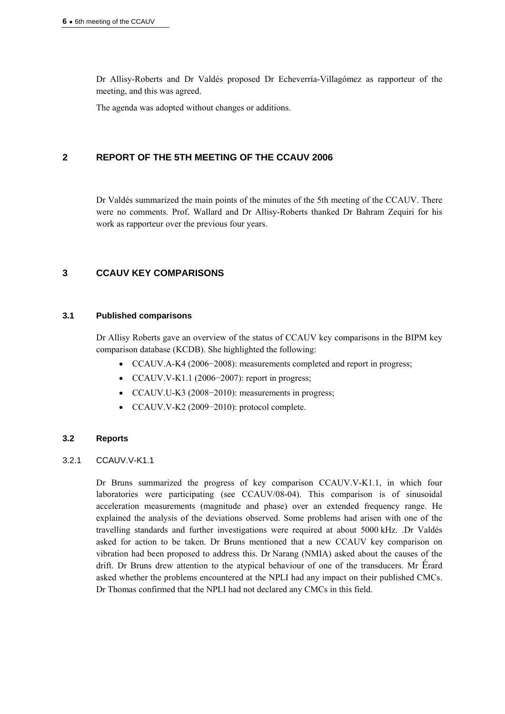Dr Allisy-Roberts and Dr Valdés proposed Dr Echeverría-Villagómez as rapporteur of the meeting, and this was agreed.

The agenda was adopted without changes or additions.

# **2 REPORT OF THE 5TH MEETING OF THE CCAUV 2006**

Dr Valdés summarized the main points of the minutes of the 5th meeting of the CCAUV. There were no comments. Prof. Wallard and Dr Allisy-Roberts thanked Dr Bahram Zequiri for his work as rapporteur over the previous four years.

# **3 CCAUV KEY COMPARISONS**

## **3.1 Published comparisons**

Dr Allisy Roberts gave an overview of the status of CCAUV key comparisons in the BIPM key comparison database (KCDB). She highlighted the following:

- CCAUV.A-K4 (2006−2008): measurements completed and report in progress;
- CCAUV.V-K1.1 (2006−2007): report in progress;
- CCAUV.U-K3 (2008−2010): measurements in progress;
- CCAUV.V-K2 (2009−2010): protocol complete.

## **3.2 Reports**

## 3.2.1 CCAUV.V-K1.1

Dr Bruns summarized the progress of key comparison CCAUV.V-K1.1, in which four laboratories were participating (see CCAUV/08-04). This comparison is of sinusoidal acceleration measurements (magnitude and phase) over an extended frequency range. He explained the analysis of the deviations observed. Some problems had arisen with one of the travelling standards and further investigations were required at about 5000 kHz. .Dr Valdés asked for action to be taken. Dr Bruns mentioned that a new CCAUV key comparison on vibration had been proposed to address this. Dr Narang (NMIA) asked about the causes of the drift. Dr Bruns drew attention to the atypical behaviour of one of the transducers. Mr Érard asked whether the problems encountered at the NPLI had any impact on their published CMCs. Dr Thomas confirmed that the NPLI had not declared any CMCs in this field.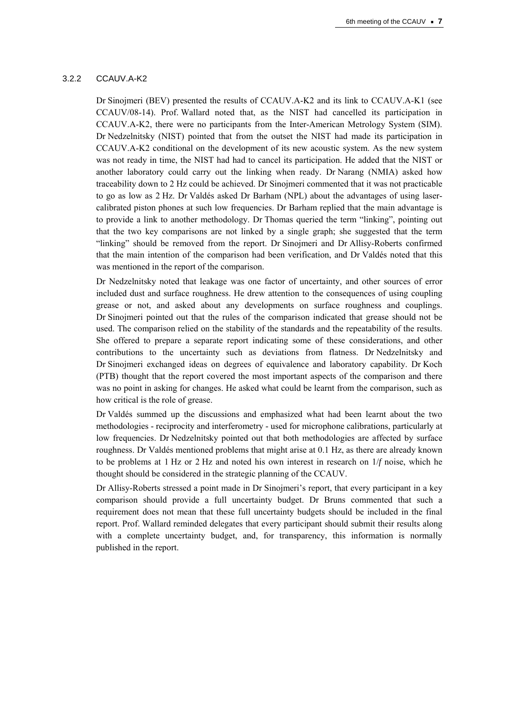#### 3.2.2 CCAUV.A-K2

Dr Sinojmeri (BEV) presented the results of CCAUV.A-K2 and its link to CCAUV.A-K1 (see CCAUV/08-14). Prof. Wallard noted that, as the NIST had cancelled its participation in CCAUV.A-K2, there were no participants from the Inter-American Metrology System (SIM). Dr Nedzelnitsky (NIST) pointed that from the outset the NIST had made its participation in CCAUV.A-K2 conditional on the development of its new acoustic system. As the new system was not ready in time, the NIST had had to cancel its participation. He added that the NIST or another laboratory could carry out the linking when ready. Dr Narang (NMIA) asked how traceability down to 2 Hz could be achieved. Dr Sinojmeri commented that it was not practicable to go as low as 2 Hz. Dr Valdés asked Dr Barham (NPL) about the advantages of using lasercalibrated piston phones at such low frequencies. Dr Barham replied that the main advantage is to provide a link to another methodology. Dr Thomas queried the term "linking", pointing out that the two key comparisons are not linked by a single graph; she suggested that the term "linking" should be removed from the report. Dr Sinojmeri and Dr Allisy-Roberts confirmed that the main intention of the comparison had been verification, and Dr Valdés noted that this was mentioned in the report of the comparison.

Dr Nedzelnitsky noted that leakage was one factor of uncertainty, and other sources of error included dust and surface roughness. He drew attention to the consequences of using coupling grease or not, and asked about any developments on surface roughness and couplings. Dr Sinojmeri pointed out that the rules of the comparison indicated that grease should not be used. The comparison relied on the stability of the standards and the repeatability of the results. She offered to prepare a separate report indicating some of these considerations, and other contributions to the uncertainty such as deviations from flatness. Dr Nedzelnitsky and Dr Sinojmeri exchanged ideas on degrees of equivalence and laboratory capability. Dr Koch (PTB) thought that the report covered the most important aspects of the comparison and there was no point in asking for changes. He asked what could be learnt from the comparison, such as how critical is the role of grease.

Dr Valdés summed up the discussions and emphasized what had been learnt about the two methodologies - reciprocity and interferometry - used for microphone calibrations, particularly at low frequencies. Dr Nedzelnitsky pointed out that both methodologies are affected by surface roughness. Dr Valdés mentioned problems that might arise at 0.1 Hz, as there are already known to be problems at 1 Hz or 2 Hz and noted his own interest in research on 1/*f* noise, which he thought should be considered in the strategic planning of the CCAUV.

Dr Allisy-Roberts stressed a point made in Dr Sinojmeri's report, that every participant in a key comparison should provide a full uncertainty budget. Dr Bruns commented that such a requirement does not mean that these full uncertainty budgets should be included in the final report. Prof. Wallard reminded delegates that every participant should submit their results along with a complete uncertainty budget, and, for transparency, this information is normally published in the report.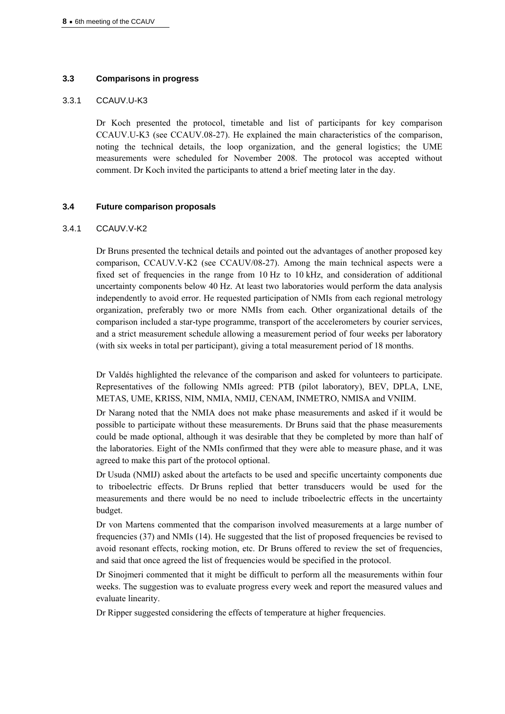## **3.3 Comparisons in progress**

#### 3.3.1 CCAUV.U-K3

Dr Koch presented the protocol, timetable and list of participants for key comparison CCAUV.U-K3 (see CCAUV.08-27). He explained the main characteristics of the comparison, noting the technical details, the loop organization, and the general logistics; the UME measurements were scheduled for November 2008. The protocol was accepted without comment. Dr Koch invited the participants to attend a brief meeting later in the day.

## **3.4 Future comparison proposals**

#### 3.4.1 CCAUV.V-K2

Dr Bruns presented the technical details and pointed out the advantages of another proposed key comparison, CCAUV.V-K2 (see CCAUV/08-27). Among the main technical aspects were a fixed set of frequencies in the range from 10 Hz to 10 kHz, and consideration of additional uncertainty components below 40 Hz. At least two laboratories would perform the data analysis independently to avoid error. He requested participation of NMIs from each regional metrology organization, preferably two or more NMIs from each. Other organizational details of the comparison included a star-type programme, transport of the accelerometers by courier services, and a strict measurement schedule allowing a measurement period of four weeks per laboratory (with six weeks in total per participant), giving a total measurement period of 18 months.

Dr Valdés highlighted the relevance of the comparison and asked for volunteers to participate. Representatives of the following NMIs agreed: PTB (pilot laboratory), BEV, DPLA, LNE, METAS, UME, KRISS, NIM, NMIA, NMIJ, CENAM, INMETRO, NMISA and VNIIM.

Dr Narang noted that the NMIA does not make phase measurements and asked if it would be possible to participate without these measurements. Dr Bruns said that the phase measurements could be made optional, although it was desirable that they be completed by more than half of the laboratories. Eight of the NMIs confirmed that they were able to measure phase, and it was agreed to make this part of the protocol optional.

Dr Usuda (NMIJ) asked about the artefacts to be used and specific uncertainty components due to triboelectric effects. Dr Bruns replied that better transducers would be used for the measurements and there would be no need to include triboelectric effects in the uncertainty budget.

Dr von Martens commented that the comparison involved measurements at a large number of frequencies (37) and NMIs (14). He suggested that the list of proposed frequencies be revised to avoid resonant effects, rocking motion, etc. Dr Bruns offered to review the set of frequencies, and said that once agreed the list of frequencies would be specified in the protocol.

Dr Sinojmeri commented that it might be difficult to perform all the measurements within four weeks. The suggestion was to evaluate progress every week and report the measured values and evaluate linearity.

Dr Ripper suggested considering the effects of temperature at higher frequencies.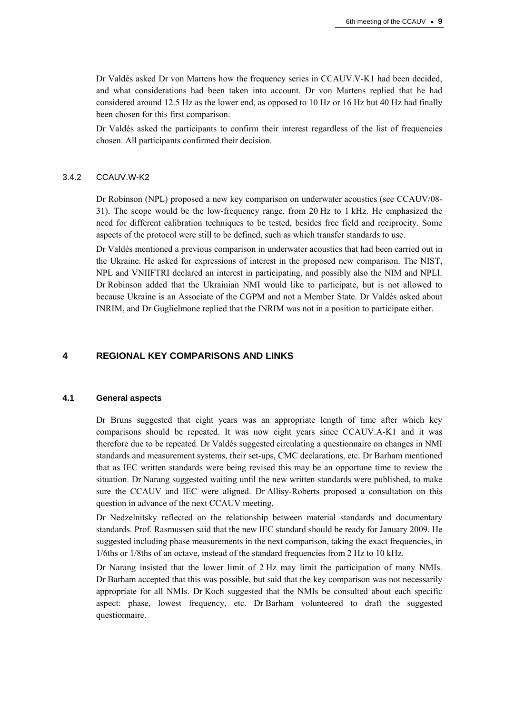Dr Valdés asked Dr von Martens how the frequency series in CCAUV.V-K1 had been decided, and what considerations had been taken into account. Dr von Martens replied that he had considered around 12.5 Hz as the lower end, as opposed to 10 Hz or 16 Hz but 40 Hz had finally been chosen for this first comparison.

Dr Valdés asked the participants to confirm their interest regardless of the list of frequencies chosen. All participants confirmed their decision.

#### 3.4.2 CCAUV.W-K2

Dr Robinson (NPL) proposed a new key comparison on underwater acoustics (see CCAUV/08- 31). The scope would be the low-frequency range, from 20 Hz to 1 kHz. He emphasized the need for different calibration techniques to be tested, besides free field and reciprocity. Some aspects of the protocol were still to be defined, such as which transfer standards to use.

Dr Valdés mentioned a previous comparison in underwater acoustics that had been carried out in the Ukraine. He asked for expressions of interest in the proposed new comparison. The NIST, NPL and VNIIFTRI declared an interest in participating, and possibly also the NIM and NPLI. Dr Robinson added that the Ukrainian NMI would like to participate, but is not allowed to because Ukraine is an Associate of the CGPM and not a Member State. Dr Valdés asked about INRIM, and Dr Guglielmone replied that the INRIM was not in a position to participate either.

## **4 REGIONAL KEY COMPARISONS AND LINKS**

#### **4.1 General aspects**

Dr Bruns suggested that eight years was an appropriate length of time after which key comparisons should be repeated. It was now eight years since CCAUV.A-K1 and it was therefore due to be repeated. Dr Valdés suggested circulating a questionnaire on changes in NMI standards and measurement systems, their set-ups, CMC declarations, etc. Dr Barham mentioned that as IEC written standards were being revised this may be an opportune time to review the situation. Dr Narang suggested waiting until the new written standards were published, to make sure the CCAUV and IEC were aligned. Dr Allisy-Roberts proposed a consultation on this question in advance of the next CCAUV meeting.

Dr Nedzelnitsky reflected on the relationship between material standards and documentary standards. Prof. Rasmussen said that the new IEC standard should be ready for January 2009. He suggested including phase measurements in the next comparison, taking the exact frequencies, in 1/6ths or 1/8ths of an octave, instead of the standard frequencies from 2 Hz to 10 kHz.

Dr Narang insisted that the lower limit of 2 Hz may limit the participation of many NMIs. Dr Barham accepted that this was possible, but said that the key comparison was not necessarily appropriate for all NMIs. Dr Koch suggested that the NMIs be consulted about each specific aspect: phase, lowest frequency, etc. Dr Barham volunteered to draft the suggested questionnaire.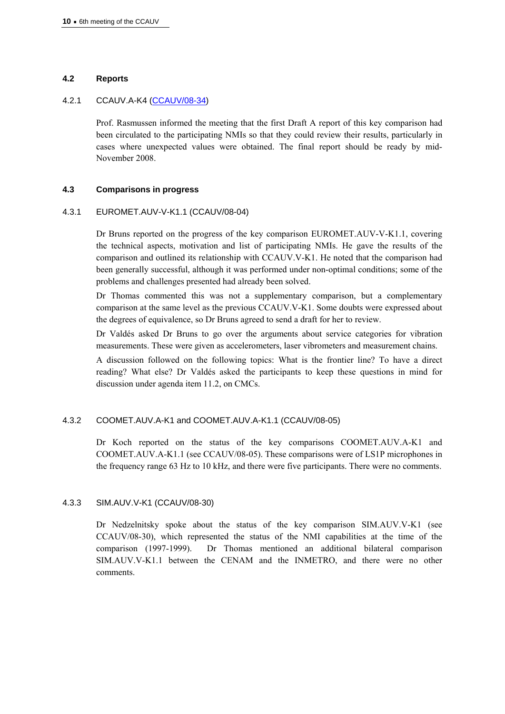#### **4.2 Reports**

## 4.2.1 CCAUV.A-K4 ([CCAUV/08-34\)](http://www.bipm.org/cc/CCAUV/Allowed/6/CCAUV-08-34.pdf)

Prof. Rasmussen informed the meeting that the first Draft A report of this key comparison had been circulated to the participating NMIs so that they could review their results, particularly in cases where unexpected values were obtained. The final report should be ready by mid-November 2008.

## **4.3 Comparisons in progress**

#### 4.3.1 EUROMET.AUV-V-K1.1 (CCAUV/08-04)

Dr Bruns reported on the progress of the key comparison EUROMET.AUV-V-K1.1, covering the technical aspects, motivation and list of participating NMIs. He gave the results of the comparison and outlined its relationship with CCAUV.V-K1. He noted that the comparison had been generally successful, although it was performed under non-optimal conditions; some of the problems and challenges presented had already been solved.

Dr Thomas commented this was not a supplementary comparison, but a complementary comparison at the same level as the previous CCAUV.V-K1. Some doubts were expressed about the degrees of equivalence, so Dr Bruns agreed to send a draft for her to review.

Dr Valdés asked Dr Bruns to go over the arguments about service categories for vibration measurements. These were given as accelerometers, laser vibrometers and measurement chains.

A discussion followed on the following topics: What is the frontier line? To have a direct reading? What else? Dr Valdés asked the participants to keep these questions in mind for discussion under agenda item 11.2, on CMCs.

#### 4.3.2 COOMET.AUV.A-K1 and COOMET.AUV.A-K1.1 (CCAUV/08-05)

Dr Koch reported on the status of the key comparisons COOMET.AUV.A-K1 and COOMET.AUV.A-K1.1 (see CCAUV/08-05). These comparisons were of LS1P microphones in the frequency range 63 Hz to 10 kHz, and there were five participants. There were no comments.

#### 4.3.3 SIM.AUV.V-K1 (CCAUV/08-30)

Dr Nedzelnitsky spoke about the status of the key comparison SIM.AUV.V-K1 (see CCAUV/08-30), which represented the status of the NMI capabilities at the time of the comparison (1997-1999). Dr Thomas mentioned an additional bilateral comparison SIM.AUV.V-K1.1 between the CENAM and the INMETRO, and there were no other comments.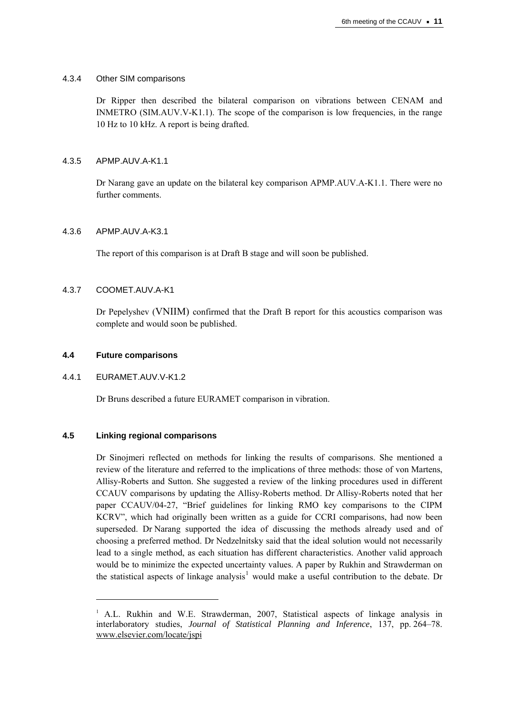## 4.3.4 Other SIM comparisons

Dr Ripper then described the bilateral comparison on vibrations between CENAM and INMETRO (SIM.AUV.V-K1.1). The scope of the comparison is low frequencies, in the range 10 Hz to 10 kHz. A report is being drafted.

## 4.3.5 APMP.AUV.A-K1.1

Dr Narang gave an update on the bilateral key comparison APMP.AUV.A-K1.1. There were no further comments.

## 4.3.6 APMP.AUV.A-K3.1

The report of this comparison is at Draft B stage and will soon be published.

## 4.3.7 COOMET.AUV.A-K1

Dr Pepelyshev (VNIIM) confirmed that the Draft B report for this acoustics comparison was complete and would soon be published.

## **4.4 Future comparisons**

## 4.4.1 EURAMET.AUV.V-K1.2

 $\overline{a}$ 

Dr Bruns described a future EURAMET comparison in vibration.

#### **4.5 Linking regional comparisons**

Dr Sinojmeri reflected on methods for linking the results of comparisons. She mentioned a review of the literature and referred to the implications of three methods: those of von Martens, Allisy-Roberts and Sutton. She suggested a review of the linking procedures used in different CCAUV comparisons by updating the Allisy-Roberts method. Dr Allisy-Roberts noted that her paper CCAUV/04-27, "Brief guidelines for linking RMO key comparisons to the CIPM KCRV", which had originally been written as a guide for CCRI comparisons, had now been superseded. Dr Narang supported the idea of discussing the methods already used and of choosing a preferred method. Dr Nedzelnitsky said that the ideal solution would not necessarily lead to a single method, as each situation has different characteristics. Another valid approach would be to minimize the expected uncertainty values. A paper by Rukhin and Strawderman on the statistical aspects of linkage analysis<sup>[1](#page-10-0)</sup> would make a useful contribution to the debate. Dr

<span id="page-10-0"></span><sup>&</sup>lt;sup>1</sup> A.L. Rukhin and W.E. Strawderman, 2007, Statistical aspects of linkage analysis in interlaboratory studies, *Journal of Statistical Planning and Inference*, 137, pp. 264–78. [www.elsevier.com/locate/jspi](http://www.elsevier.com/locate/jspi)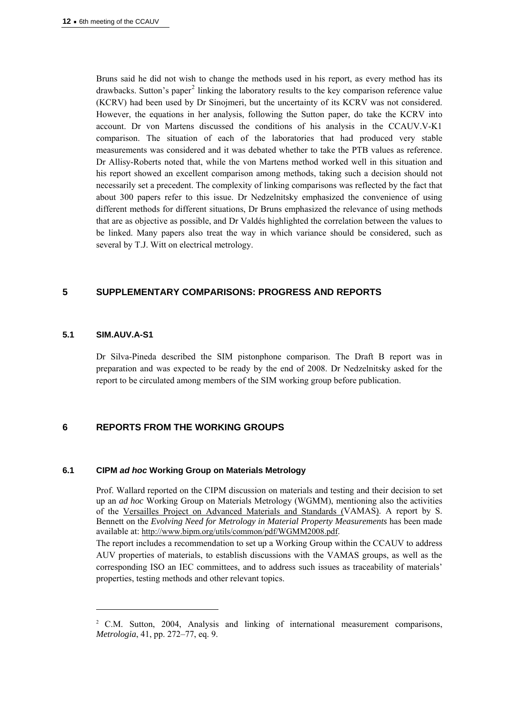Bruns said he did not wish to change the methods used in his report, as every method has its drawbacks. Sutton's paper<sup>[2](#page-11-0)</sup> linking the laboratory results to the key comparison reference value (KCRV) had been used by Dr Sinojmeri, but the uncertainty of its KCRV was not considered. However, the equations in her analysis, following the Sutton paper, do take the KCRV into account. Dr von Martens discussed the conditions of his analysis in the CCAUV.V-K1 comparison. The situation of each of the laboratories that had produced very stable measurements was considered and it was debated whether to take the PTB values as reference. Dr Allisy-Roberts noted that, while the von Martens method worked well in this situation and his report showed an excellent comparison among methods, taking such a decision should not necessarily set a precedent. The complexity of linking comparisons was reflected by the fact that about 300 papers refer to this issue. Dr Nedzelnitsky emphasized the convenience of using different methods for different situations, Dr Bruns emphasized the relevance of using methods that are as objective as possible, and Dr Valdés highlighted the correlation between the values to be linked. Many papers also treat the way in which variance should be considered, such as several by T.J. Witt on electrical metrology.

## **5 SUPPLEMENTARY COMPARISONS: PROGRESS AND REPORTS**

#### **5.1 SIM.AUV.A-S1**

 $\overline{a}$ 

Dr Silva-Pineda described the SIM pistonphone comparison. The Draft B report was in preparation and was expected to be ready by the end of 2008. Dr Nedzelnitsky asked for the report to be circulated among members of the SIM working group before publication.

# **6 REPORTS FROM THE WORKING GROUPS**

## **6.1 CIPM** *ad hoc* **Working Group on Materials Metrology**

Prof. Wallard reported on the CIPM discussion on materials and testing and their decision to set up an *ad hoc* Working Group on Materials Metrology (WGMM), mentioning also the activities of the [Versailles Project on Advanced Materials and Standards \(VAMAS\).](http://www.vamas.org/) A report by S. Bennett on the *Evolving Need for Metrology in Material Property Measurements* has been made available at:<http://www.bipm.org/utils/common/pdf/WGMM2008.pdf>.

The report includes a recommendation to set up a Working Group within the CCAUV to address AUV properties of materials, to establish discussions with the VAMAS groups, as well as the corresponding ISO an IEC committees, and to address such issues as traceability of materials' properties, testing methods and other relevant topics.

<span id="page-11-0"></span><sup>2</sup> C.M. Sutton, 2004, Analysis and linking of international measurement comparisons, *Metrologia*, 41, pp. 272–77, eq. 9.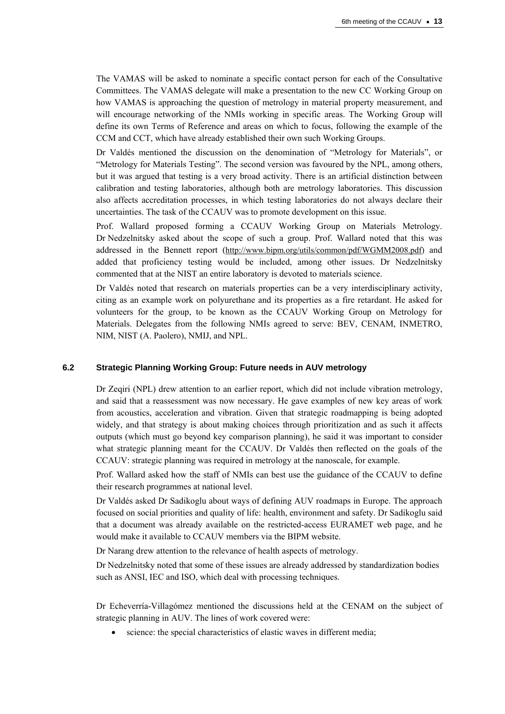The VAMAS will be asked to nominate a specific contact person for each of the Consultative Committees. The VAMAS delegate will make a presentation to the new CC Working Group on how VAMAS is approaching the question of metrology in material property measurement, and will encourage networking of the NMIs working in specific areas. The Working Group will define its own Terms of Reference and areas on which to focus, following the example of the CCM and CCT, which have already established their own such Working Groups.

Dr Valdés mentioned the discussion on the denomination of "Metrology for Materials", or "Metrology for Materials Testing". The second version was favoured by the NPL, among others, but it was argued that testing is a very broad activity. There is an artificial distinction between calibration and testing laboratories, although both are metrology laboratories. This discussion also affects accreditation processes, in which testing laboratories do not always declare their uncertainties. The task of the CCAUV was to promote development on this issue.

Prof. Wallard proposed forming a CCAUV Working Group on Materials Metrology. Dr Nedzelnitsky asked about the scope of such a group. Prof. Wallard noted that this was addressed in the Bennett report [\(http://www.bipm.org/utils/common/pdf/WGMM2008.pdf](http://www.bipm.org/utils/common/pdf/WGMM2008.pdf)) and added that proficiency testing would be included, among other issues. Dr Nedzelnitsky commented that at the NIST an entire laboratory is devoted to materials science.

Dr Valdés noted that research on materials properties can be a very interdisciplinary activity, citing as an example work on polyurethane and its properties as a fire retardant. He asked for volunteers for the group, to be known as the CCAUV Working Group on Metrology for Materials. Delegates from the following NMIs agreed to serve: BEV, CENAM, INMETRO, NIM, NIST (A. Paolero), NMIJ, and NPL.

## **6.2 Strategic Planning Working Group: Future needs in AUV metrology**

Dr Zeqiri (NPL) drew attention to an earlier report, which did not include vibration metrology, and said that a reassessment was now necessary. He gave examples of new key areas of work from acoustics, acceleration and vibration. Given that strategic roadmapping is being adopted widely, and that strategy is about making choices through prioritization and as such it affects outputs (which must go beyond key comparison planning), he said it was important to consider what strategic planning meant for the CCAUV. Dr Valdés then reflected on the goals of the CCAUV: strategic planning was required in metrology at the nanoscale, for example.

Prof. Wallard asked how the staff of NMIs can best use the guidance of the CCAUV to define their research programmes at national level.

Dr Valdés asked Dr Sadikoglu about ways of defining AUV roadmaps in Europe. The approach focused on social priorities and quality of life: health, environment and safety. Dr Sadikoglu said that a document was already available on the restricted-access EURAMET web page, and he would make it available to CCAUV members via the BIPM website.

Dr Narang drew attention to the relevance of health aspects of metrology.

Dr Nedzelnitsky noted that some of these issues are already addressed by standardization bodies such as ANSI, IEC and ISO, which deal with processing techniques.

Dr Echeverría-Villagómez mentioned the discussions held at the CENAM on the subject of strategic planning in AUV. The lines of work covered were:

science: the special characteristics of elastic waves in different media;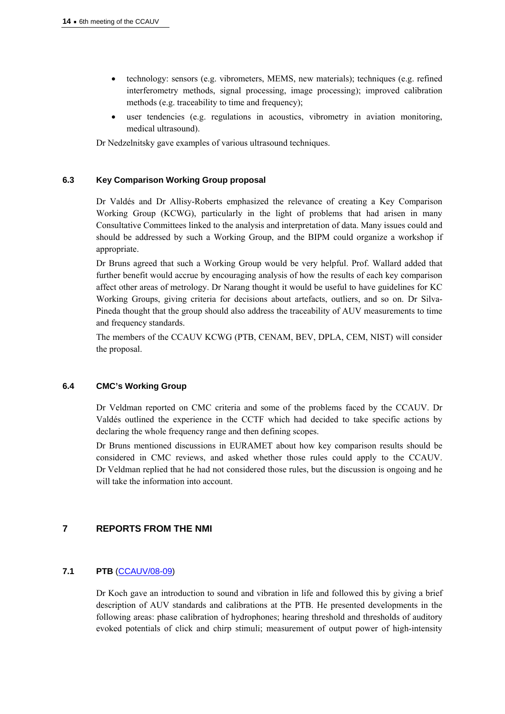- technology: sensors (e.g. vibrometers, MEMS, new materials); techniques (e.g. refined interferometry methods, signal processing, image processing); improved calibration methods (e.g. traceability to time and frequency);
- user tendencies (e.g. regulations in acoustics, vibrometry in aviation monitoring, medical ultrasound).

Dr Nedzelnitsky gave examples of various ultrasound techniques.

## **6.3 Key Comparison Working Group proposal**

Dr Valdés and Dr Allisy-Roberts emphasized the relevance of creating a Key Comparison Working Group (KCWG), particularly in the light of problems that had arisen in many Consultative Committees linked to the analysis and interpretation of data. Many issues could and should be addressed by such a Working Group, and the BIPM could organize a workshop if appropriate.

Dr Bruns agreed that such a Working Group would be very helpful. Prof. Wallard added that further benefit would accrue by encouraging analysis of how the results of each key comparison affect other areas of metrology. Dr Narang thought it would be useful to have guidelines for KC Working Groups, giving criteria for decisions about artefacts, outliers, and so on. Dr Silva-Pineda thought that the group should also address the traceability of AUV measurements to time and frequency standards.

The members of the CCAUV KCWG (PTB, CENAM, BEV, DPLA, CEM, NIST) will consider the proposal.

## **6.4 CMC's Working Group**

Dr Veldman reported on CMC criteria and some of the problems faced by the CCAUV. Dr Valdés outlined the experience in the CCTF which had decided to take specific actions by declaring the whole frequency range and then defining scopes.

Dr Bruns mentioned discussions in EURAMET about how key comparison results should be considered in CMC reviews, and asked whether those rules could apply to the CCAUV. Dr Veldman replied that he had not considered those rules, but the discussion is ongoing and he will take the information into account.

## **7 REPORTS FROM THE NMI**

## **7.1 PTB** ([CCAUV/08-09\)](http://www.bipm.org/cc/CCAUV/Allowed/6/CCAUV-08-09.pdf)

Dr Koch gave an introduction to sound and vibration in life and followed this by giving a brief description of AUV standards and calibrations at the PTB. He presented developments in the following areas: phase calibration of hydrophones; hearing threshold and thresholds of auditory evoked potentials of click and chirp stimuli; measurement of output power of high-intensity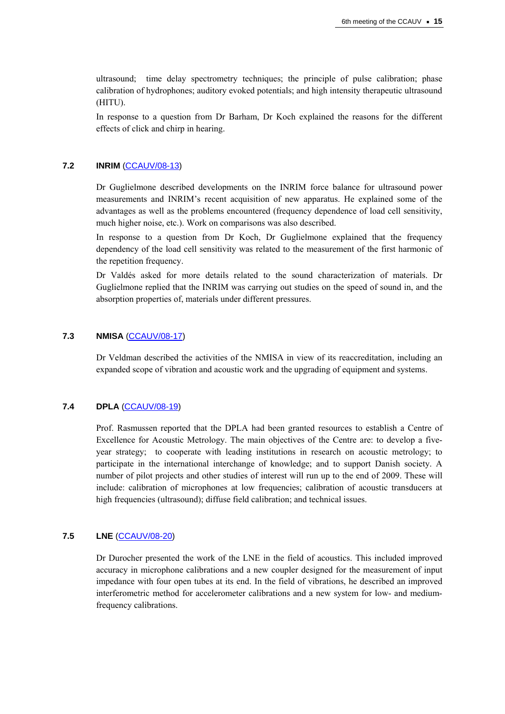ultrasound; time delay spectrometry techniques; the principle of pulse calibration; phase calibration of hydrophones; auditory evoked potentials; and high intensity therapeutic ultrasound (HITU).

In response to a question from Dr Barham, Dr Koch explained the reasons for the different effects of click and chirp in hearing.

#### **7.2 INRIM** ([CCAUV/08-13](http://www.bipm.org/cc/CCAUV/Allowed/6/CCAUV-08-13.pdf))

Dr Guglielmone described developments on the INRIM force balance for ultrasound power measurements and INRIM's recent acquisition of new apparatus. He explained some of the advantages as well as the problems encountered (frequency dependence of load cell sensitivity, much higher noise, etc.). Work on comparisons was also described.

In response to a question from Dr Koch, Dr Guglielmone explained that the frequency dependency of the load cell sensitivity was related to the measurement of the first harmonic of the repetition frequency.

Dr Valdés asked for more details related to the sound characterization of materials. Dr Guglielmone replied that the INRIM was carrying out studies on the speed of sound in, and the absorption properties of, materials under different pressures.

#### **7.3 NMISA** ([CCAUV/08-17](http://www.bipm.org/cc/CCAUV/Allowed/6/CCAUV-08-17.pdf))

Dr Veldman described the activities of the NMISA in view of its reaccreditation, including an expanded scope of vibration and acoustic work and the upgrading of equipment and systems.

## **7.4 DPLA** ([CCAUV/08-19](http://www.bipm.org/cc/CCAUV/Allowed/6/CCAUV-08-19.pdf))

Prof. Rasmussen reported that the DPLA had been granted resources to establish a Centre of Excellence for Acoustic Metrology. The main objectives of the Centre are: to develop a fiveyear strategy; to cooperate with leading institutions in research on acoustic metrology; to participate in the international interchange of knowledge; and to support Danish society. A number of pilot projects and other studies of interest will run up to the end of 2009. These will include: calibration of microphones at low frequencies; calibration of acoustic transducers at high frequencies (ultrasound); diffuse field calibration; and technical issues.

## **7.5 LNE** ([CCAUV/08-20\)](http://www.bipm.org/cc/CCAUV/Allowed/6/CCAUV-08-20.pdf)

Dr Durocher presented the work of the LNE in the field of acoustics. This included improved accuracy in microphone calibrations and a new coupler designed for the measurement of input impedance with four open tubes at its end. In the field of vibrations, he described an improved interferometric method for accelerometer calibrations and a new system for low- and mediumfrequency calibrations.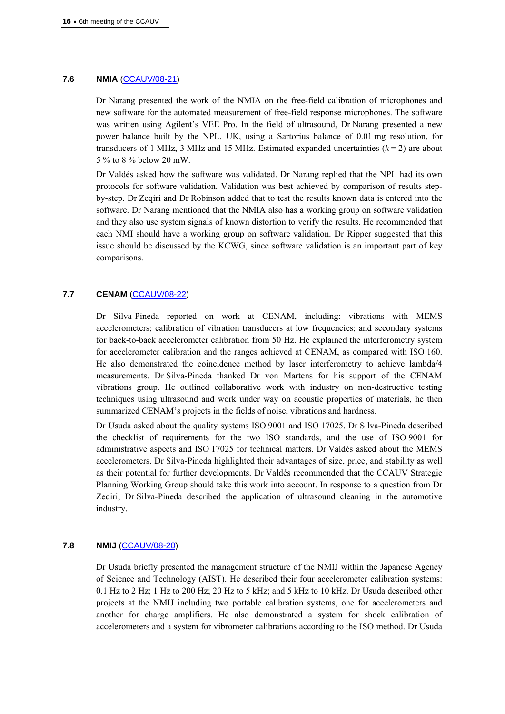## **7.6 NMIA** [\(CCAUV/08-21\)](http://www.bipm.org/cc/CCAUV/Allowed/6/CCAUV-08-21.pdf)

Dr Narang presented the work of the NMIA on the free-field calibration of microphones and new software for the automated measurement of free-field response microphones. The software was written using Agilent's VEE Pro. In the field of ultrasound, Dr Narang presented a new power balance built by the NPL, UK, using a Sartorius balance of 0.01 mg resolution, for transducers of 1 MHz, 3 MHz and 15 MHz. Estimated expanded uncertainties  $(k = 2)$  are about 5 % to 8 % below 20 mW.

Dr Valdés asked how the software was validated. Dr Narang replied that the NPL had its own protocols for software validation. Validation was best achieved by comparison of results stepby-step. Dr Zeqiri and Dr Robinson added that to test the results known data is entered into the software. Dr Narang mentioned that the NMIA also has a working group on software validation and they also use system signals of known distortion to verify the results. He recommended that each NMI should have a working group on software validation. Dr Ripper suggested that this issue should be discussed by the KCWG, since software validation is an important part of key comparisons.

## **7.7 CENAM** [\(CCAUV/08-22\)](http://www.bipm.org/cc/CCAUV/Allowed/6/CCAUV-08-22.pdf)

Dr Silva-Pineda reported on work at CENAM, including: vibrations with MEMS accelerometers; calibration of vibration transducers at low frequencies; and secondary systems for back-to-back accelerometer calibration from 50 Hz. He explained the interferometry system for accelerometer calibration and the ranges achieved at CENAM, as compared with ISO 160. He also demonstrated the coincidence method by laser interferometry to achieve lambda/4 measurements. Dr Silva-Pineda thanked Dr von Martens for his support of the CENAM vibrations group. He outlined collaborative work with industry on non-destructive testing techniques using ultrasound and work under way on acoustic properties of materials, he then summarized CENAM's projects in the fields of noise, vibrations and hardness.

Dr Usuda asked about the quality systems ISO 9001 and ISO 17025. Dr Silva-Pineda described the checklist of requirements for the two ISO standards, and the use of ISO 9001 for administrative aspects and ISO 17025 for technical matters. Dr Valdés asked about the MEMS accelerometers. Dr Silva-Pineda highlighted their advantages of size, price, and stability as well as their potential for further developments. Dr Valdés recommended that the CCAUV Strategic Planning Working Group should take this work into account. In response to a question from Dr Zeqiri, Dr Silva-Pineda described the application of ultrasound cleaning in the automotive industry.

#### **7.8 NMIJ** [\(CCAUV/08-20\)](http://www.bipm.org/cc/CCAUV/Allowed/6/CCAUV-08-20.pdf)

Dr Usuda briefly presented the management structure of the NMIJ within the Japanese Agency of Science and Technology (AIST). He described their four accelerometer calibration systems: 0.1 Hz to 2 Hz; 1 Hz to 200 Hz; 20 Hz to 5 kHz; and 5 kHz to 10 kHz. Dr Usuda described other projects at the NMIJ including two portable calibration systems, one for accelerometers and another for charge amplifiers. He also demonstrated a system for shock calibration of accelerometers and a system for vibrometer calibrations according to the ISO method. Dr Usuda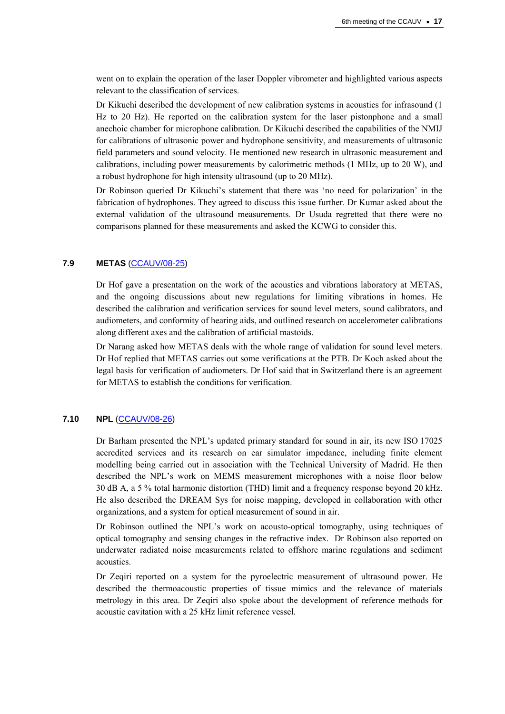went on to explain the operation of the laser Doppler vibrometer and highlighted various aspects relevant to the classification of services.

Dr Kikuchi described the development of new calibration systems in acoustics for infrasound (1 Hz to 20 Hz). He reported on the calibration system for the laser pistonphone and a small anechoic chamber for microphone calibration. Dr Kikuchi described the capabilities of the NMIJ for calibrations of ultrasonic power and hydrophone sensitivity, and measurements of ultrasonic field parameters and sound velocity. He mentioned new research in ultrasonic measurement and calibrations, including power measurements by calorimetric methods (1 MHz, up to 20 W), and a robust hydrophone for high intensity ultrasound (up to 20 MHz).

Dr Robinson queried Dr Kikuchi's statement that there was 'no need for polarization' in the fabrication of hydrophones. They agreed to discuss this issue further. Dr Kumar asked about the external validation of the ultrasound measurements. Dr Usuda regretted that there were no comparisons planned for these measurements and asked the KCWG to consider this.

#### **7.9 METAS** ([CCAUV/08-25\)](http://www.bipm.org/cc/CCAUV/Allowed/6/CCAUV-08-25.pdf)

Dr Hof gave a presentation on the work of the acoustics and vibrations laboratory at METAS, and the ongoing discussions about new regulations for limiting vibrations in homes. He described the calibration and verification services for sound level meters, sound calibrators, and audiometers, and conformity of hearing aids, and outlined research on accelerometer calibrations along different axes and the calibration of artificial mastoids.

Dr Narang asked how METAS deals with the whole range of validation for sound level meters. Dr Hof replied that METAS carries out some verifications at the PTB. Dr Koch asked about the legal basis for verification of audiometers. Dr Hof said that in Switzerland there is an agreement for METAS to establish the conditions for verification.

## **7.10 NPL** ([CCAUV/08-26\)](http://www.bipm.org/cc/CCAUV/Allowed/6/CCAUV-08-26.pdf)

Dr Barham presented the NPL's updated primary standard for sound in air, its new ISO 17025 accredited services and its research on ear simulator impedance, including finite element modelling being carried out in association with the Technical University of Madrid. He then described the NPL's work on MEMS measurement microphones with a noise floor below 30 dB A, a 5 % total harmonic distortion (THD) limit and a frequency response beyond 20 kHz. He also described the DREAM Sys for noise mapping, developed in collaboration with other organizations, and a system for optical measurement of sound in air.

Dr Robinson outlined the NPL's work on acousto-optical tomography, using techniques of optical tomography and sensing changes in the refractive index. Dr Robinson also reported on underwater radiated noise measurements related to offshore marine regulations and sediment acoustics.

Dr Zeqiri reported on a system for the pyroelectric measurement of ultrasound power. He described the thermoacoustic properties of tissue mimics and the relevance of materials metrology in this area. Dr Zeqiri also spoke about the development of reference methods for acoustic cavitation with a 25 kHz limit reference vessel.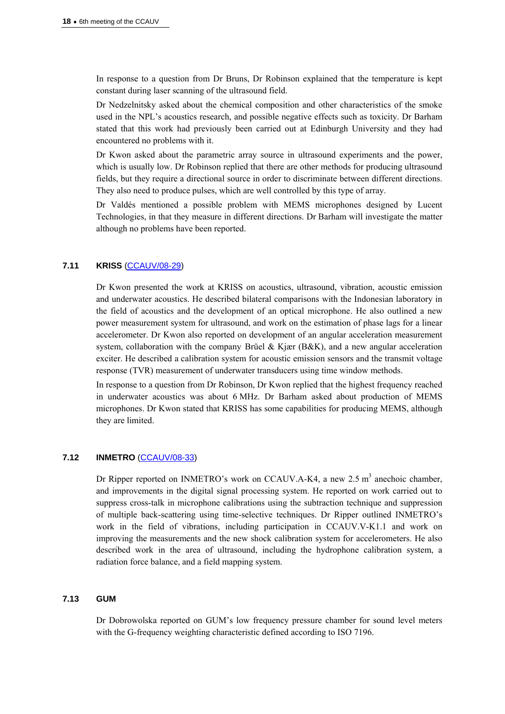In response to a question from Dr Bruns, Dr Robinson explained that the temperature is kept constant during laser scanning of the ultrasound field.

Dr Nedzelnitsky asked about the chemical composition and other characteristics of the smoke used in the NPL's acoustics research, and possible negative effects such as toxicity. Dr Barham stated that this work had previously been carried out at Edinburgh University and they had encountered no problems with it.

Dr Kwon asked about the parametric array source in ultrasound experiments and the power, which is usually low. Dr Robinson replied that there are other methods for producing ultrasound fields, but they require a directional source in order to discriminate between different directions. They also need to produce pulses, which are well controlled by this type of array.

Dr Valdés mentioned a possible problem with MEMS microphones designed by Lucent Technologies, in that they measure in different directions. Dr Barham will investigate the matter although no problems have been reported.

#### **7.11 KRISS** [\(CCAUV/08-29\)](http://www.bipm.org/cc/CCAUV/Allowed/6/CCAUV-08-29.pdf)

Dr Kwon presented the work at KRISS on acoustics, ultrasound, vibration, acoustic emission and underwater acoustics. He described bilateral comparisons with the Indonesian laboratory in the field of acoustics and the development of an optical microphone. He also outlined a new power measurement system for ultrasound, and work on the estimation of phase lags for a linear accelerometer. Dr Kwon also reported on development of an angular acceleration measurement system, collaboration with the company Brüel & Kjær (B&K), and a new angular acceleration exciter. He described a calibration system for acoustic emission sensors and the transmit voltage response (TVR) measurement of underwater transducers using time window methods.

In response to a question from Dr Robinson, Dr Kwon replied that the highest frequency reached in underwater acoustics was about 6 MHz. Dr Barham asked about production of MEMS microphones. Dr Kwon stated that KRISS has some capabilities for producing MEMS, although they are limited.

#### **7.12 INMETRO** ([CCAUV/08-33](http://www.bipm.org/cc/CCAUV/Allowed/6/CCAUV-08-33.pdf))

Dr Ripper reported on INMETRO's work on CCAUV.A-K4, a new 2.5  $m<sup>3</sup>$  anechoic chamber, and improvements in the digital signal processing system. He reported on work carried out to suppress cross-talk in microphone calibrations using the subtraction technique and suppression of multiple back-scattering using time-selective techniques. Dr Ripper outlined INMETRO's work in the field of vibrations, including participation in CCAUV.V-K1.1 and work on improving the measurements and the new shock calibration system for accelerometers. He also described work in the area of ultrasound, including the hydrophone calibration system, a radiation force balance, and a field mapping system.

#### **7.13 GUM**

Dr Dobrowolska reported on GUM's low frequency pressure chamber for sound level meters with the G-frequency weighting characteristic defined according to ISO 7196.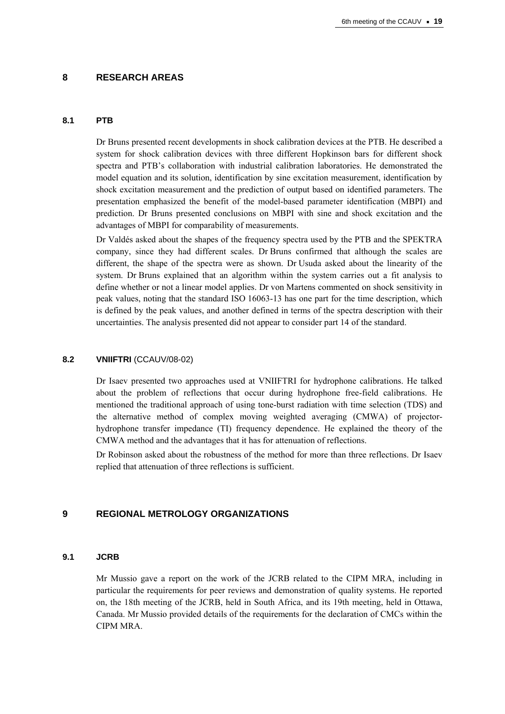## **8 RESEARCH AREAS**

## **8.1 PTB**

Dr Bruns presented recent developments in shock calibration devices at the PTB. He described a system for shock calibration devices with three different Hopkinson bars for different shock spectra and PTB's collaboration with industrial calibration laboratories. He demonstrated the model equation and its solution, identification by sine excitation measurement, identification by shock excitation measurement and the prediction of output based on identified parameters. The presentation emphasized the benefit of the model-based parameter identification (MBPI) and prediction. Dr Bruns presented conclusions on MBPI with sine and shock excitation and the advantages of MBPI for comparability of measurements.

Dr Valdés asked about the shapes of the frequency spectra used by the PTB and the SPEKTRA company, since they had different scales. Dr Bruns confirmed that although the scales are different, the shape of the spectra were as shown. Dr Usuda asked about the linearity of the system. Dr Bruns explained that an algorithm within the system carries out a fit analysis to define whether or not a linear model applies. Dr von Martens commented on shock sensitivity in peak values, noting that the standard ISO 16063-13 has one part for the time description, which is defined by the peak values, and another defined in terms of the spectra description with their uncertainties. The analysis presented did not appear to consider part 14 of the standard.

#### **8.2 VNIIFTRI** (CCAUV/08-02)

Dr Isaev presented two approaches used at VNIIFTRI for hydrophone calibrations. He talked about the problem of reflections that occur during hydrophone free-field calibrations. He mentioned the traditional approach of using tone-burst radiation with time selection (TDS) and the alternative method of complex moving weighted averaging (CMWA) of projectorhydrophone transfer impedance (TI) frequency dependence. He explained the theory of the CMWA method and the advantages that it has for attenuation of reflections.

Dr Robinson asked about the robustness of the method for more than three reflections. Dr Isaev replied that attenuation of three reflections is sufficient.

## **9 REGIONAL METROLOGY ORGANIZATIONS**

#### **9.1 JCRB**

Mr Mussio gave a report on the work of the JCRB related to the CIPM MRA, including in particular the requirements for peer reviews and demonstration of quality systems. He reported on, the 18th meeting of the JCRB, held in South Africa, and its 19th meeting, held in Ottawa, Canada. Mr Mussio provided details of the requirements for the declaration of CMCs within the CIPM MRA.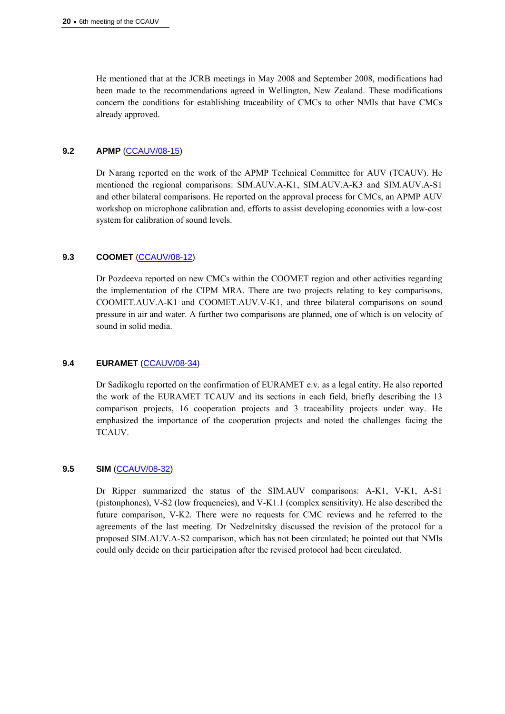He mentioned that at the JCRB meetings in May 2008 and September 2008, modifications had been made to the recommendations agreed in Wellington, New Zealand. These modifications concern the conditions for establishing traceability of CMCs to other NMIs that have CMCs already approved.

## **9.2 APMP** [\(CCAUV/08-15\)](http://www.bipm.org/cc/CCAUV/Allowed/6/CCAUV-08-15.pdf)

Dr Narang reported on the work of the APMP Technical Committee for AUV (TCAUV). He mentioned the regional comparisons: SIM.AUV.A-K1, SIM.AUV.A-K3 and SIM.AUV.A-S1 and other bilateral comparisons. He reported on the approval process for CMCs, an APMP AUV workshop on microphone calibration and, efforts to assist developing economies with a low-cost system for calibration of sound levels.

## **9.3 COOMET** [\(CCAUV/08-12\)](http://www.bipm.org/cc/CCAUV/Allowed/6/CCAUV-08-12.pdf)

Dr Pozdeeva reported on new CMCs within the COOMET region and other activities regarding the implementation of the CIPM MRA. There are two projects relating to key comparisons, COOMET.AUV.A-K1 and COOMET.AUV.V-K1, and three bilateral comparisons on sound pressure in air and water. A further two comparisons are planned, one of which is on velocity of sound in solid media.

#### **9.4 EURAMET** [\(CCAUV/08-34](http://www.bipm.org/cc/CCAUV/Allowed/6/CCAUV-08-34.pdf))

Dr Sadikoglu reported on the confirmation of EURAMET e.v. as a legal entity. He also reported the work of the EURAMET TCAUV and its sections in each field, briefly describing the 13 comparison projects, 16 cooperation projects and 3 traceability projects under way. He emphasized the importance of the cooperation projects and noted the challenges facing the TCAUV.

#### **9.5 SIM** [\(CCAUV/08-32\)](http://www.bipm.org/cc/CCAUV/Allowed/6/CCAUV-08-32.pdf)

Dr Ripper summarized the status of the SIM.AUV comparisons: A-K1, V-K1, A-S1 (pistonphones), V-S2 (low frequencies), and V-K1.1 (complex sensitivity). He also described the future comparison, V-K2. There were no requests for CMC reviews and he referred to the agreements of the last meeting. Dr Nedzelnitsky discussed the revision of the protocol for a proposed SIM.AUV.A-S2 comparison, which has not been circulated; he pointed out that NMIs could only decide on their participation after the revised protocol had been circulated.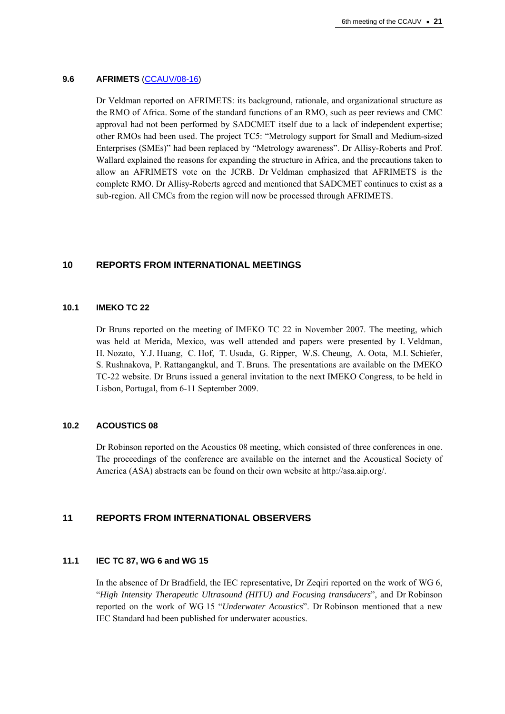#### **9.6 AFRIMETS** ([CCAUV/08-16](http://www.bipm.org/cc/CCAUV/Allowed/6/CCAUV-08-16.pdf))

Dr Veldman reported on AFRIMETS: its background, rationale, and organizational structure as the RMO of Africa. Some of the standard functions of an RMO, such as peer reviews and CMC approval had not been performed by SADCMET itself due to a lack of independent expertise; other RMOs had been used. The project TC5: "Metrology support for Small and Medium-sized Enterprises (SMEs)" had been replaced by "Metrology awareness". Dr Allisy-Roberts and Prof. Wallard explained the reasons for expanding the structure in Africa, and the precautions taken to allow an AFRIMETS vote on the JCRB. Dr Veldman emphasized that AFRIMETS is the complete RMO. Dr Allisy-Roberts agreed and mentioned that SADCMET continues to exist as a sub-region. All CMCs from the region will now be processed through AFRIMETS.

## **10 REPORTS FROM INTERNATIONAL MEETINGS**

#### **10.1 IMEKO TC 22**

Dr Bruns reported on the meeting of IMEKO TC 22 in November 2007. The meeting, which was held at Merida, Mexico, was well attended and papers were presented by I. Veldman, H. Nozato, Y.J. Huang, C. Hof, T. Usuda, G. Ripper, W.S. Cheung, A. Oota, M.I. Schiefer, S. Rushnakova, P. Rattangangkul, and T. Bruns. The presentations are available on the IMEKO TC-22 website. Dr Bruns issued a general invitation to the next IMEKO Congress, to be held in Lisbon, Portugal, from 6-11 September 2009.

#### **10.2 ACOUSTICS 08**

Dr Robinson reported on the Acoustics 08 meeting, which consisted of three conferences in one. The proceedings of the conference are available on the internet and the Acoustical Society of America (ASA) abstracts can be found on their own website at http://asa.aip.org/.

# **11 REPORTS FROM INTERNATIONAL OBSERVERS**

## **11.1 IEC TC 87, WG 6 and WG 15**

In the absence of Dr Bradfield, the IEC representative, Dr Zeqiri reported on the work of WG 6, "*High Intensity Therapeutic Ultrasound (HITU) and Focusing transducers*", and Dr Robinson reported on the work of WG 15 "*Underwater Acoustics*". Dr Robinson mentioned that a new IEC Standard had been published for underwater acoustics.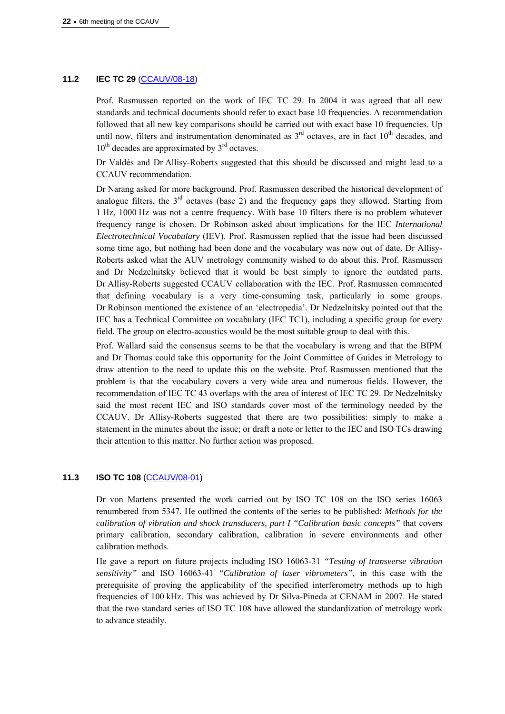## **11.2 IEC TC 29** [\(CCAUV/08-18\)](http://www.bipm.org/cc/CCAUV/Allowed/6/CCAUV-08-18.pdf)

Prof. Rasmussen reported on the work of IEC TC 29. In 2004 it was agreed that all new standards and technical documents should refer to exact base 10 frequencies. A recommendation followed that all new key comparisons should be carried out with exact base 10 frequencies. Up until now, filters and instrumentation denominated as  $3<sup>rd</sup>$  octaves, are in fact  $10<sup>th</sup>$  decades, and  $10^{th}$  decades are approximated by  $3^{rd}$  octaves.

Dr Valdés and Dr Allisy-Roberts suggested that this should be discussed and might lead to a CCAUV recommendation.

Dr Narang asked for more background. Prof. Rasmussen described the historical development of analogue filters, the  $3<sup>rd</sup>$  octaves (base 2) and the frequency gaps they allowed. Starting from 1 Hz, 1000 Hz was not a centre frequency. With base 10 filters there is no problem whatever frequency range is chosen. Dr Robinson asked about implications for the IEC *International Electrotechnical Vocabulary* (IEV). Prof. Rasmussen replied that the issue had been discussed some time ago, but nothing had been done and the vocabulary was now out of date. Dr Allisy-Roberts asked what the AUV metrology community wished to do about this. Prof. Rasmussen and Dr Nedzelnitsky believed that it would be best simply to ignore the outdated parts. Dr Allisy-Roberts suggested CCAUV collaboration with the IEC. Prof. Rasmussen commented that defining vocabulary is a very time-consuming task, particularly in some groups. Dr Robinson mentioned the existence of an 'electropedia'. Dr Nedzelnitsky pointed out that the IEC has a Technical Committee on vocabulary (IEC TC1), including a specific group for every field. The group on electro-acoustics would be the most suitable group to deal with this.

Prof. Wallard said the consensus seems to be that the vocabulary is wrong and that the BIPM and Dr Thomas could take this opportunity for the Joint Committee of Guides in Metrology to draw attention to the need to update this on the website. Prof. Rasmussen mentioned that the problem is that the vocabulary covers a very wide area and numerous fields. However, the recommendation of IEC TC 43 overlaps with the area of interest of IEC TC 29. Dr Nedzelnitsky said the most recent IEC and ISO standards cover most of the terminology needed by the CCAUV. Dr Allisy-Roberts suggested that there are two possibilities: simply to make a statement in the minutes about the issue; or draft a note or letter to the IEC and ISO TCs drawing their attention to this matter. No further action was proposed.

#### **11.3 ISO TC 108** [\(CCAUV/08-01\)](http://www.bipm.org/cc/CCAUV/Allowed/6/CCAUV-08-01.pdf)

Dr von Martens presented the work carried out by ISO TC 108 on the ISO series 16063 renumbered from 5347. He outlined the contents of the series to be published: *Methods for the calibration of vibration and shock transducers, part I "Calibration basic concepts"* that covers primary calibration, secondary calibration, calibration in severe environments and other calibration methods.

He gave a report on future projects including ISO 16063-31 *"Testing of transverse vibration sensitivity"* and ISO 16063-41 *"Calibration of laser vibrometers"*, in this case with the prerequisite of proving the applicability of the specified interferometry methods up to high frequencies of 100 kHz. This was achieved by Dr Silva-Pineda at CENAM in 2007. He stated that the two standard series of ISO TC 108 have allowed the standardization of metrology work to advance steadily.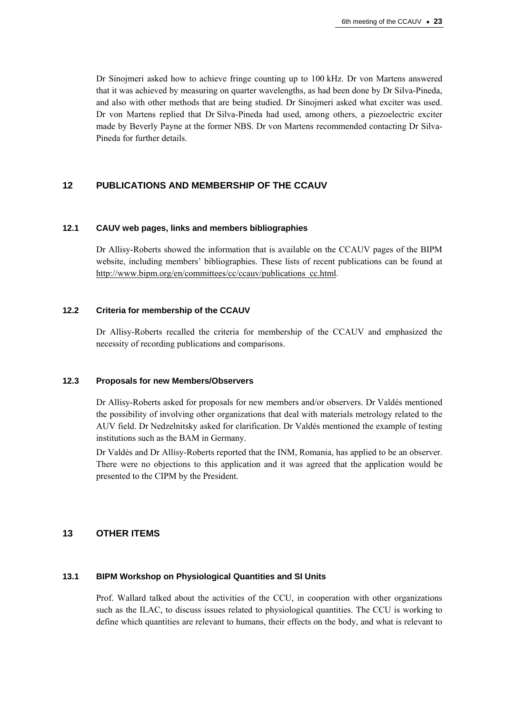Dr Sinojmeri asked how to achieve fringe counting up to 100 kHz. Dr von Martens answered that it was achieved by measuring on quarter wavelengths, as had been done by Dr Silva-Pineda, and also with other methods that are being studied. Dr Sinojmeri asked what exciter was used. Dr von Martens replied that Dr Silva-Pineda had used, among others, a piezoelectric exciter made by Beverly Payne at the former NBS. Dr von Martens recommended contacting Dr Silva-Pineda for further details.

# **12 PUBLICATIONS AND MEMBERSHIP OF THE CCAUV**

## **12.1 CAUV web pages, links and members bibliographies**

Dr Allisy-Roberts showed the information that is available on the CCAUV pages of the BIPM website, including members' bibliographies. These lists of recent publications can be found at [http://www.bipm.org/en/committees/cc/ccauv/publications\\_cc.html](http://www.bipm.org/en/committees/cc/ccauv/publications_cc.html).

## **12.2 Criteria for membership of the CCAUV**

Dr Allisy-Roberts recalled the criteria for membership of the CCAUV and emphasized the necessity of recording publications and comparisons.

#### **12.3 Proposals for new Members/Observers**

Dr Allisy-Roberts asked for proposals for new members and/or observers. Dr Valdés mentioned the possibility of involving other organizations that deal with materials metrology related to the AUV field. Dr Nedzelnitsky asked for clarification. Dr Valdés mentioned the example of testing institutions such as the BAM in Germany.

Dr Valdés and Dr Allisy-Roberts reported that the INM, Romania, has applied to be an observer. There were no objections to this application and it was agreed that the application would be presented to the CIPM by the President.

## **13 OTHER ITEMS**

#### **13.1 BIPM Workshop on Physiological Quantities and SI Units**

Prof. Wallard talked about the activities of the CCU, in cooperation with other organizations such as the ILAC, to discuss issues related to physiological quantities. The CCU is working to define which quantities are relevant to humans, their effects on the body, and what is relevant to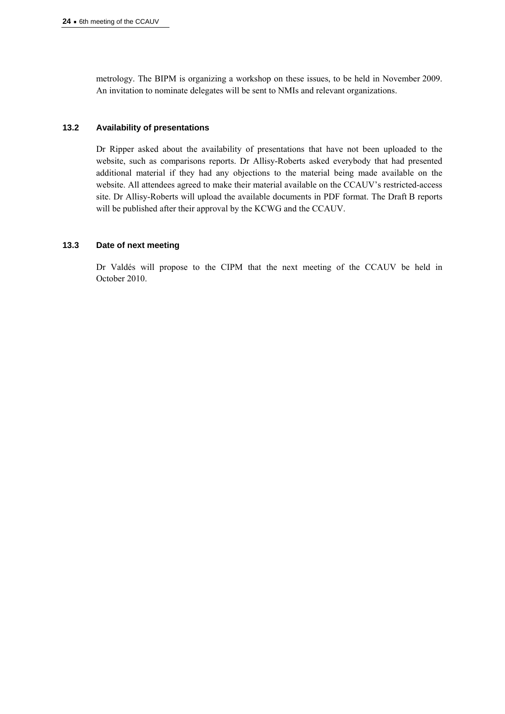metrology. The BIPM is organizing a workshop on these issues, to be held in November 2009. An invitation to nominate delegates will be sent to NMIs and relevant organizations.

## **13.2 Availability of presentations**

Dr Ripper asked about the availability of presentations that have not been uploaded to the website, such as comparisons reports. Dr Allisy-Roberts asked everybody that had presented additional material if they had any objections to the material being made available on the website. All attendees agreed to make their material available on the CCAUV's restricted-access site. Dr Allisy-Roberts will upload the available documents in PDF format. The Draft B reports will be published after their approval by the KCWG and the CCAUV.

## **13.3 Date of next meeting**

Dr Valdés will propose to the CIPM that the next meeting of the CCAUV be held in October 2010.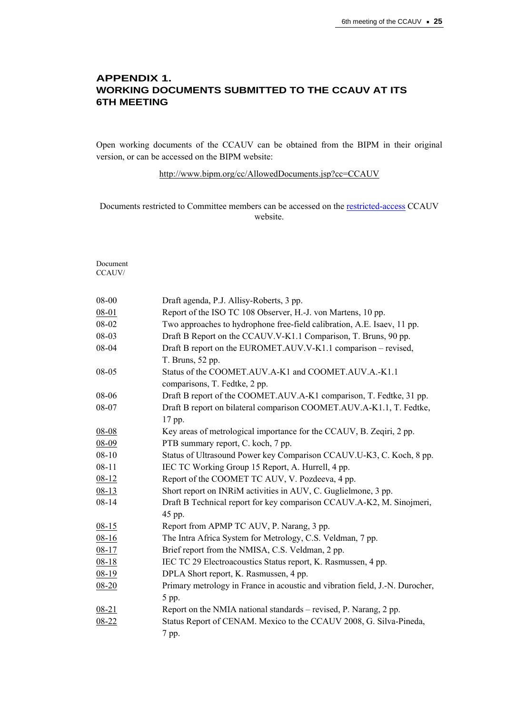# **APPENDIX 1. WORKING DOCUMENTS SUBMITTED TO THE CCAUV AT ITS 6TH MEETING**

Open working documents of the CCAUV can be obtained from the BIPM in their original version, or can be accessed on the BIPM website:

<http://www.bipm.org/cc/AllowedDocuments.jsp?cc=CCAUV>

Documents restricted to Committee members can be accessed on the [restricted-access](http://www.bipm.org/cc/CCAUV/Restricted/WorkingDocuments.jsp) CCAUV website.

Document CCAUV/

| 08-00     | Draft agenda, P.J. Allisy-Roberts, 3 pp.                                     |
|-----------|------------------------------------------------------------------------------|
| $08 - 01$ | Report of the ISO TC 108 Observer, H.-J. von Martens, 10 pp.                 |
| 08-02     | Two approaches to hydrophone free-field calibration, A.E. Isaev, 11 pp.      |
| 08-03     | Draft B Report on the CCAUV.V-K1.1 Comparison, T. Bruns, 90 pp.              |
| 08-04     | Draft B report on the EUROMET.AUV.V-K1.1 comparison - revised,               |
|           | T. Bruns, 52 pp.                                                             |
| 08-05     | Status of the COOMET.AUV.A-K1 and COOMET.AUV.A.-K1.1                         |
|           | comparisons, T. Fedtke, 2 pp.                                                |
| 08-06     | Draft B report of the COOMET.AUV.A-K1 comparison, T. Fedtke, 31 pp.          |
| 08-07     | Draft B report on bilateral comparison COOMET.AUV.A-K1.1, T. Fedtke,         |
|           | 17 pp.                                                                       |
| $08 - 08$ | Key areas of metrological importance for the CCAUV, B. Zeqiri, 2 pp.         |
| $08 - 09$ | PTB summary report, C. koch, 7 pp.                                           |
| $08 - 10$ | Status of Ultrasound Power key Comparison CCAUV.U-K3, C. Koch, 8 pp.         |
| $08 - 11$ | IEC TC Working Group 15 Report, A. Hurrell, 4 pp.                            |
| $08 - 12$ | Report of the COOMET TC AUV, V. Pozdeeva, 4 pp.                              |
| $08 - 13$ | Short report on INRiM activities in AUV, C. Guglielmone, 3 pp.               |
| $08 - 14$ | Draft B Technical report for key comparison CCAUV.A-K2, M. Sinojmeri,        |
|           | 45 pp.                                                                       |
| $08 - 15$ | Report from APMP TC AUV, P. Narang, 3 pp.                                    |
| $08 - 16$ | The Intra Africa System for Metrology, C.S. Veldman, 7 pp.                   |
| $08 - 17$ | Brief report from the NMISA, C.S. Veldman, 2 pp.                             |
| $08 - 18$ | IEC TC 29 Electroacoustics Status report, K. Rasmussen, 4 pp.                |
| $08-19$   | DPLA Short report, K. Rasmussen, 4 pp.                                       |
| $08 - 20$ | Primary metrology in France in acoustic and vibration field, J.-N. Durocher, |
|           | 5 pp.                                                                        |
| $08 - 21$ | Report on the NMIA national standards – revised, P. Narang, 2 pp.            |
| $08 - 22$ | Status Report of CENAM. Mexico to the CCAUV 2008, G. Silva-Pineda,           |
|           | 7 pp.                                                                        |